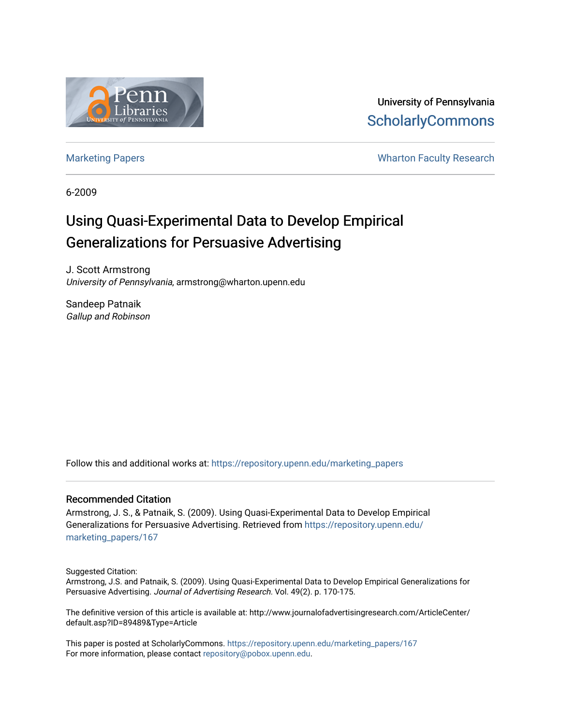

University of Pennsylvania **ScholarlyCommons** 

[Marketing Papers](https://repository.upenn.edu/marketing_papers) **Marketing Papers Marketing Papers Wharton Faculty Research** 

6-2009

## Using Quasi-Experimental Data to Develop Empirical Generalizations for Persuasive Advertising

J. Scott Armstrong University of Pennsylvania, armstrong@wharton.upenn.edu

Sandeep Patnaik Gallup and Robinson

Follow this and additional works at: [https://repository.upenn.edu/marketing\\_papers](https://repository.upenn.edu/marketing_papers?utm_source=repository.upenn.edu%2Fmarketing_papers%2F167&utm_medium=PDF&utm_campaign=PDFCoverPages)

#### Recommended Citation

Armstrong, J. S., & Patnaik, S. (2009). Using Quasi-Experimental Data to Develop Empirical Generalizations for Persuasive Advertising. Retrieved from [https://repository.upenn.edu/](https://repository.upenn.edu/marketing_papers/167?utm_source=repository.upenn.edu%2Fmarketing_papers%2F167&utm_medium=PDF&utm_campaign=PDFCoverPages) [marketing\\_papers/167](https://repository.upenn.edu/marketing_papers/167?utm_source=repository.upenn.edu%2Fmarketing_papers%2F167&utm_medium=PDF&utm_campaign=PDFCoverPages) 

Suggested Citation:

Armstrong, J.S. and Patnaik, S. (2009). Using Quasi-Experimental Data to Develop Empirical Generalizations for Persuasive Advertising. Journal of Advertising Research. Vol. 49(2). p. 170-175.

The definitive version of this article is available at: http://www.journalofadvertisingresearch.com/ArticleCenter/ default.asp?ID=89489&Type=Article

This paper is posted at ScholarlyCommons. [https://repository.upenn.edu/marketing\\_papers/167](https://repository.upenn.edu/marketing_papers/167)  For more information, please contact [repository@pobox.upenn.edu.](mailto:repository@pobox.upenn.edu)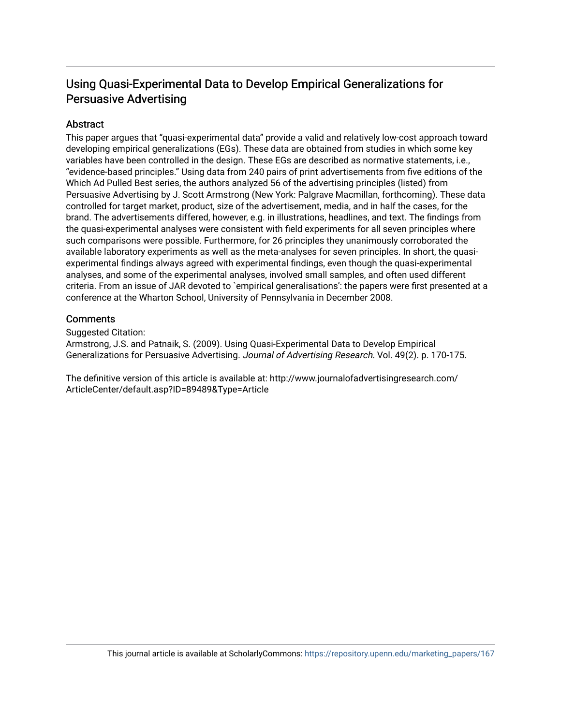## Using Quasi-Experimental Data to Develop Empirical Generalizations for Persuasive Advertising

#### **Abstract**

This paper argues that "quasi-experimental data" provide a valid and relatively low-cost approach toward developing empirical generalizations (EGs). These data are obtained from studies in which some key variables have been controlled in the design. These EGs are described as normative statements, i.e., "evidence-based principles." Using data from 240 pairs of print advertisements from five editions of the Which Ad Pulled Best series, the authors analyzed 56 of the advertising principles (listed) from Persuasive Advertising by J. Scott Armstrong (New York: Palgrave Macmillan, forthcoming). These data controlled for target market, product, size of the advertisement, media, and in half the cases, for the brand. The advertisements differed, however, e.g. in illustrations, headlines, and text. The findings from the quasi-experimental analyses were consistent with field experiments for all seven principles where such comparisons were possible. Furthermore, for 26 principles they unanimously corroborated the available laboratory experiments as well as the meta-analyses for seven principles. In short, the quasiexperimental findings always agreed with experimental findings, even though the quasi-experimental analyses, and some of the experimental analyses, involved small samples, and often used different criteria. From an issue of JAR devoted to `empirical generalisations': the papers were first presented at a conference at the Wharton School, University of Pennsylvania in December 2008.

#### **Comments**

Suggested Citation:

Armstrong, J.S. and Patnaik, S. (2009). Using Quasi-Experimental Data to Develop Empirical Generalizations for Persuasive Advertising. Journal of Advertising Research. Vol. 49(2). p. 170-175.

The definitive version of this article is available at: http://www.journalofadvertisingresearch.com/ ArticleCenter/default.asp?ID=89489&Type=Article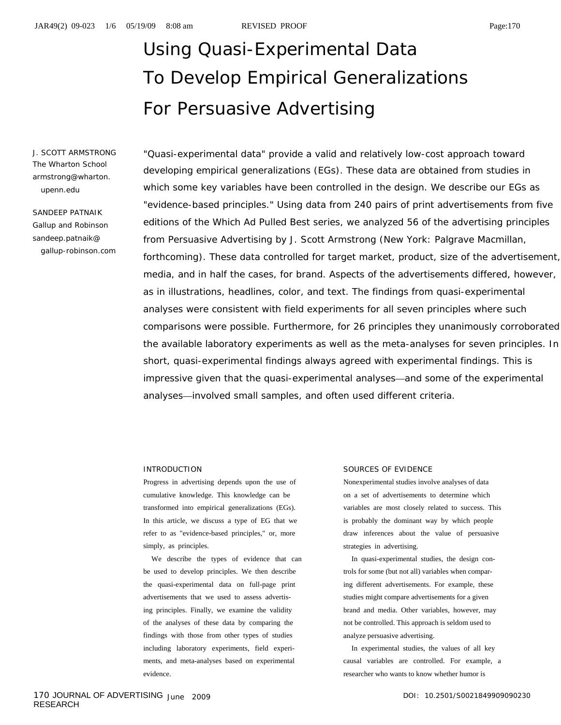# Using Quasi-Experimental Data To Develop Empirical Generalizations For Persuasive Advertising

J. SCOTT ARMSTRONG The Wharton School armstrong@wharton. upenn.edu

SANDEEP PATNAIK Gallup and Robinson sandeep.patnaik@ gallup-robinson.com

"Quasi-experimental data" provide a valid and relatively low-cost approach toward developing empirical generalizations (EGs). These data are obtained from studies in which some key variables have been controlled in the design. We describe our EGs as "evidence-based principles." Using data from 240 pairs of print advertisements from five editions of the *Which Ad Pulled Best* series, we analyzed 56 of the advertising principles from *Persuasive Advertising* by J. Scott Armstrong (New York: Palgrave Macmillan, forthcoming). These data controlled for target market, product, size of the advertisement, media, and in half the cases, for brand. Aspects of the advertisements differed, however, as in illustrations, headlines, color, and text. The findings from quasi-experimental analyses were consistent with field experiments for all seven principles where such comparisons were possible. Furthermore, for 26 principles they unanimously corroborated the available laboratory experiments as well as the meta-analyses for seven principles. In short, quasi-experimental findings always agreed with experimental findings. This is impressive given that the quasi-experimental analyses—and some of the experimental analyses—involved small samples, and often used different criteria.

#### INTRODUCTION

Progress in advertising depends upon the use of cumulative knowledge. This knowledge can be transformed into empirical generalizations (EGs). In this article, we discuss a type of EG that we refer to as "evidence-based principles," or, more simply, as principles.

We describe the types of evidence that can be used to develop principles. We then describe the quasi-experimental data on full-page print advertisements that we used to assess advertising principles. Finally, we examine the validity of the analyses of these data by comparing the findings with those from other types of studies including laboratory experiments, field experiments, and meta-analyses based on experimental evidence.

#### SOURCES OF EVIDENCE

Nonexperimental studies involve analyses of data on a set of advertisements to determine which variables are most closely related to success. This is probably the dominant way by which people draw inferences about the value of persuasive strategies in advertising.

In quasi-experimental studies, the design controls for some (but not all) variables when comparing different advertisements. For example, these studies might compare advertisements for a given brand and media. Other variables, however, may not be controlled. This approach is seldom used to analyze persuasive advertising.

In experimental studies, the values of all key causal variables are controlled. For example, a researcher who wants to know whether humor is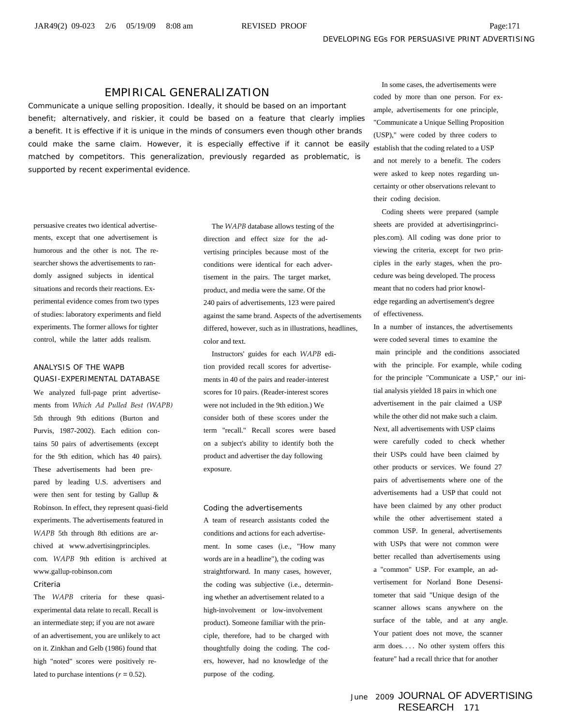#### EMPIRICAL GENERALIZATION

Communicate a unique selling proposition. Ideally, it should be based on an important benefit; alternatively, and riskier, it could be based on a feature that clearly implies a benefit. It is effective if it is unique in the minds of consumers even though other brands could make the same claim. However, it is especially effective if it cannot be easily matched by competitors. This generalization, previously regarded as problematic, is supported by recent experimental evidence.

persuasive creates two identical advertisements, except that one advertisement is humorous and the other is not. The researcher shows the advertisements to randomly assigned subjects in identical situations and records their reactions. Experimental evidence comes from two types of studies: laboratory experiments and field experiments. The former allows for tighter control, while the latter adds realism.

#### ANALYSIS OF THE WAPB

QUASI-EXPERIMENTAL DATABASE We analyzed full-page print advertisements from *Which Ad Pulled Best (WAPB)* 5th through 9th editions (Burton and Purvis, 1987-2002). Each edition contains 50 pairs of advertisements (except for the 9th edition, which has 40 pairs). These advertisements had been prepared by leading U.S. advertisers and were then sent for testing by Gallup & Robinson. In effect, they represent quasi-field experiments. The advertisements featured in *WAPB* 5th through 8th editions are archived at www.advertisingprinciples. com. *WAPB* 9th edition is archived at www.gallup-robinson.com

#### Criteria

The *WAPB* criteria for these quasiexperimental data relate to recall. Recall is an intermediate step; if you are not aware of an advertisement, you are unlikely to act on it. Zinkhan and Gelb (1986) found that high "noted" scores were positively related to purchase intentions  $(r = 0.52)$ .

The *WAPB* database allows testing of the direction and effect size for the advertising principles because most of the conditions were identical for each advertisement in the pairs. The target market, product, and media were the same. Of the 240 pairs of advertisements, 123 were paired against the same brand. Aspects of the advertisements differed, however, such as in illustrations, headlines, color and text.

Instructors' guides for each *WAPB* edition provided recall scores for advertisements in 40 of the pairs and reader-interest scores for 10 pairs. (Reader-interest scores were not included in the 9th edition.) We consider both of these scores under the term "recall." Recall scores were based on a subject's ability to identify both the product and advertiser the day following exposure.

Coding the advertisements A team of research assistants coded the conditions and actions for each advertisement. In some cases (i.e., "How many words are in a headline"), the coding was straightforward. In many cases, however, the coding was subjective (i.e., determining whether an advertisement related to a high-involvement or low-involvement product). Someone familiar with the principle, therefore, had to be charged with thoughtfully doing the coding. The coders, however, had no knowledge of the purpose of the coding.

In some cases, the advertisements were coded by more than one person. For example, advertisements for one principle, "Communicate a Unique Selling Proposition (USP)," were coded by three coders to establish that the coding related to a USP and not merely to a benefit. The coders were asked to keep notes regarding uncertainty or other observations relevant to their coding decision.

Coding sheets were prepared (sample sheets are provided at advertisingprinciples.com). All coding was done prior to viewing the criteria, except for two principles in the early stages, when the procedure was being developed. The process meant that no coders had prior knowledge regarding an advertisement's degree of effectiveness.

In a number of instances, the advertisements were coded several times to examine the main principle and the conditions associated with the principle. For example, while coding for the principle "Communicate a USP," our initial analysis yielded 18 pairs in which one advertisement in the pair claimed a USP while the other did not make such a claim. Next, all advertisements with USP claims were carefully coded to check whether their USPs could have been claimed by other products or services. We found 27 pairs of advertisements where one of the advertisements had a USP that could not have been claimed by any other product while the other advertisement stated a common USP. In general, advertisements with USPs that were not common were better recalled than advertisements using a "common" USP. For example, an advertisement for Norland Bone Desensitometer that said "Unique design of the scanner allows scans anywhere on the surface of the table, and at any angle. Your patient does not move, the scanner arm does. . . . No other system offers this feature" had a recall thrice that for another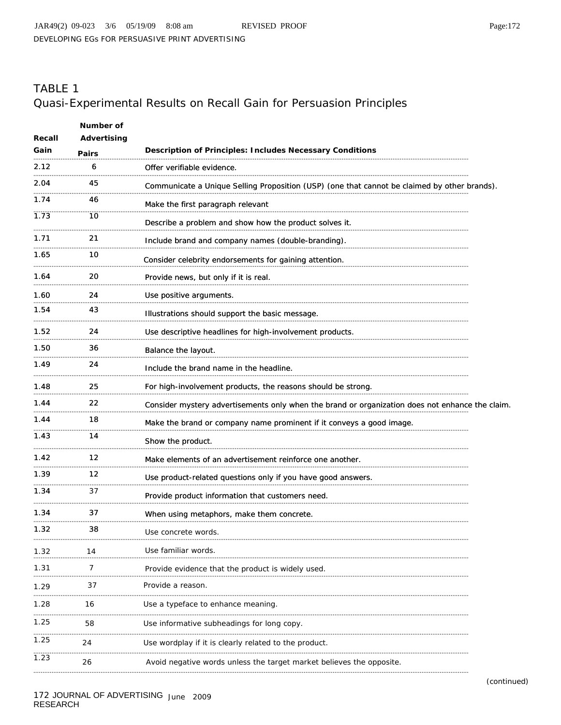## TABLE 1 Quasi-Experimental Results on Recall Gain for Persuasion Principles

| Recall | Number of<br>Advertising |                                                                                                 |
|--------|--------------------------|-------------------------------------------------------------------------------------------------|
| Gain   | Pairs                    | <b>Description of Principles: Includes Necessary Conditions</b>                                 |
| 2.12   | 6                        | Offer verifiable evidence.                                                                      |
| 2.04   | 45                       | Communicate a Unique Selling Proposition (USP) (one that cannot be claimed by other brands).    |
| 1.74   | 46                       | Make the first paragraph relevant                                                               |
| 1.73   | 10                       | Describe a problem and show how the product solves it.                                          |
| 1.71   | 21                       | Include brand and company names (double-branding).                                              |
| 1.65   | 10                       | Consider celebrity endorsements for gaining attention.                                          |
| 1.64   | 20                       | Provide news, but only if it is real.                                                           |
| 1.60   | 24                       | Use positive arguments.                                                                         |
| 1.54   | 43                       | Illustrations should support the basic message.                                                 |
| 1.52   | 24                       | Use descriptive headlines for high-involvement products.                                        |
| 1.50   | 36                       | Balance the layout.                                                                             |
| 1.49   | 24                       | Include the brand name in the headline.                                                         |
| 1.48   | 25                       | For high-involvement products, the reasons should be strong.                                    |
| 1.44   | 22                       | Consider mystery advertisements only when the brand or organization does not enhance the claim. |
| 1.44   | 18                       | Make the brand or company name prominent if it conveys a good image.                            |
| 1.43   | 14                       | Show the product.                                                                               |
| 1.42   | 12                       | Make elements of an advertisement reinforce one another.                                        |
| 1.39   | 12                       | Use product-related questions only if you have good answers.                                    |
| 1.34   | 37                       | Provide product information that customers need.                                                |
| 1.34   | 37                       | When using metaphors, make them concrete.                                                       |
| 1.32   | 38                       | Use concrete words.                                                                             |
| 1.32   | 14                       | Use familiar words.                                                                             |
| 1.31   | 7                        | Provide evidence that the product is widely used.                                               |
| 1.29   | 37                       | Provide a reason.                                                                               |
| 1.28   | 16                       | Use a typeface to enhance meaning.                                                              |
| 1.25   | 58                       | Use informative subheadings for long copy.                                                      |
| 1.25   | 24                       | Use wordplay if it is clearly related to the product.                                           |
| 1.23   | 26                       | Avoid negative words unless the target market believes the opposite.                            |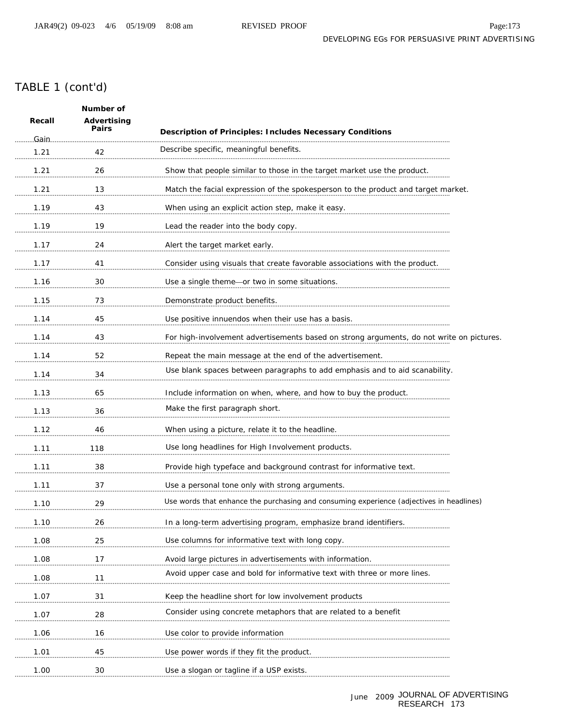### TABLE 1 (cont'd)

| Number of |                      |                                                                                          |  |
|-----------|----------------------|------------------------------------------------------------------------------------------|--|
| Recall    | Advertising<br>Pairs | <b>Description of Principles: Includes Necessary Conditions</b>                          |  |
| .Gain.    |                      | Describe specific, meaningful benefits.                                                  |  |
| 1.21      | 42                   |                                                                                          |  |
| 1.21      | 26                   | Show that people similar to those in the target market use the product.                  |  |
| 1.21      | 13                   | Match the facial expression of the spokesperson to the product and target market.        |  |
| 1.19      | 43                   | When using an explicit action step, make it easy.                                        |  |
| 1.19      | 19                   | Lead the reader into the body copy.                                                      |  |
| 1.17      | 24                   | Alert the target market early.                                                           |  |
| 1.17      | 41                   | Consider using visuals that create favorable associations with the product.              |  |
| 1.16      | 30                   | Use a single theme-or two in some situations.                                            |  |
| 1.15      | 73                   | Demonstrate product benefits.                                                            |  |
| 1.14      | 45                   | Use positive innuendos when their use has a basis.                                       |  |
| 1.14      | 43                   | For high-involvement advertisements based on strong arguments, do not write on pictures. |  |
| 1.14      | 52                   | Repeat the main message at the end of the advertisement.                                 |  |
| 1.14      | 34                   | Use blank spaces between paragraphs to add emphasis and to aid scanability.              |  |
| 1.13      | 65                   | Include information on when, where, and how to buy the product.                          |  |
| 1.13      | 36                   | Make the first paragraph short.                                                          |  |
| 1.12      | 46                   | When using a picture, relate it to the headline.                                         |  |
| 1.11      | 118                  | Use long headlines for High Involvement products.                                        |  |
| 1.11      | 38                   | Provide high typeface and background contrast for informative text.                      |  |
| 1.11      | 37                   | Use a personal tone only with strong arguments.                                          |  |
| 1.10      | 29                   | Use words that enhance the purchasing and consuming experience (adjectives in headlines) |  |
| 1.10      | 26                   | In a long-term advertising program, emphasize brand identifiers.                         |  |
| 1.08      | 25                   | Use columns for informative text with long copy.                                         |  |
| 1.08      | 17                   | Avoid large pictures in advertisements with information.                                 |  |
| 1.08      | 11                   | Avoid upper case and bold for informative text with three or more lines.                 |  |
| 1.07      | 31                   | Keep the headline short for low involvement products                                     |  |
| 1.07      | 28                   | Consider using concrete metaphors that are related to a benefit                          |  |
| 1.06      | 16                   | Use color to provide information                                                         |  |
| 1.01      | 45                   | Use power words if they fit the product.                                                 |  |
| 1.00      | 30                   | Use a slogan or tagline if a USP exists.                                                 |  |
|           |                      |                                                                                          |  |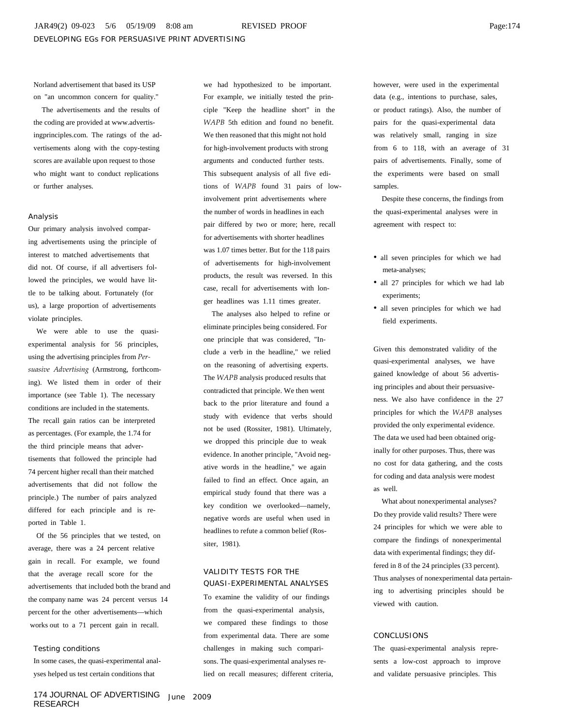Norland advertisement that based its USP on "an uncommon concern for quality."

The advertisements and the results of the coding are provided at www.advertisingprinciples.com. The ratings of the advertisements along with the copy-testing scores are available upon request to those who might want to conduct replications or further analyses.

#### Analysis

Our primary analysis involved comparing advertisements using the principle of interest to matched advertisements that did not. Of course, if all advertisers followed the principles, we would have little to be talking about. Fortunately (for us), a large proportion of advertisements violate principles.

We were able to use the quasiexperimental analysis for 56 principles, using the advertising principles from *Persuasive Advertising* (Armstrong, forthcoming). We listed them in order of their importance (see Table 1). The necessary conditions are included in the statements. The recall gain ratios can be interpreted as percentages. (For example, the 1.74 for the third principle means that advertisements that followed the principle had 74 percent higher recall than their matched advertisements that did not follow the principle.) The number of pairs analyzed differed for each principle and is reported in Table 1.

Of the 56 principles that we tested, on average, there was a 24 percent relative gain in recall. For example, we found that the average recall score for the advertisements that included both the brand and the company name was 24 percent versus 14 percent for the other advertisements—which works out to a 71 percent gain in recall.

#### Testing conditions

In some cases, the quasi-experimental analyses helped us test certain conditions that

we had hypothesized to be important. For example, we initially tested the principle "Keep the headline short" in the *WAPB* 5th edition and found no benefit. We then reasoned that this might not hold for high-involvement products with strong arguments and conducted further tests. This subsequent analysis of all five editions of *WAPB* found 31 pairs of lowinvolvement print advertisements where the number of words in headlines in each pair differed by two or more; here, recall for advertisements with shorter headlines was 1.07 times better. But for the 118 pairs of advertisements for high-involvement products, the result was reversed. In this case, recall for advertisements with longer headlines was 1.11 times greater.

The analyses also helped to refine or eliminate principles being considered. For one principle that was considered, "Include a verb in the headline," we relied on the reasoning of advertising experts. The *WAPB* analysis produced results that contradicted that principle. We then went back to the prior literature and found a study with evidence that verbs should not be used (Rossiter, 1981). Ultimately, we dropped this principle due to weak evidence. In another principle, "Avoid negative words in the headline," we again failed to find an effect. Once again, an empirical study found that there was a key condition we overlooked—namely, negative words are useful when used in headlines to refute a common belief (Rossiter, 1981).

#### VALIDITY TESTS FOR THE QUASI-EXPERIMENTAL ANALYSES

To examine the validity of our findings from the quasi-experimental analysis, we compared these findings to those from experimental data. There are some challenges in making such comparisons. The quasi-experimental analyses relied on recall measures; different criteria, however, were used in the experimental data (e.g., intentions to purchase, sales, or product ratings). Also, the number of pairs for the quasi-experimental data was relatively small, ranging in size from 6 to 118, with an average of 31 pairs of advertisements. Finally, some of the experiments were based on small samples.

Despite these concerns, the findings from the quasi-experimental analyses were in agreement with respect to:

- all seven principles for which we had meta-analyses;
- all 27 principles for which we had lab experiments;
- all seven principles for which we had field experiments.

Given this demonstrated validity of the quasi-experimental analyses, we have gained knowledge of about 56 advertising principles and about their persuasiveness. We also have confidence in the 27 principles for which the *WAPB* analyses provided the only experimental evidence. The data we used had been obtained originally for other purposes. Thus, there was no cost for data gathering, and the costs for coding and data analysis were modest as well.

What about nonexperimental analyses? Do they provide valid results? There were 24 principles for which we were able to compare the findings of nonexperimental data with experimental findings; they differed in 8 of the 24 principles (33 percent). Thus analyses of nonexperimental data pertaining to advertising principles should be viewed with caution.

#### CONCLUSIONS

The quasi-experimental analysis represents a low-cost approach to improve and validate persuasive principles. This